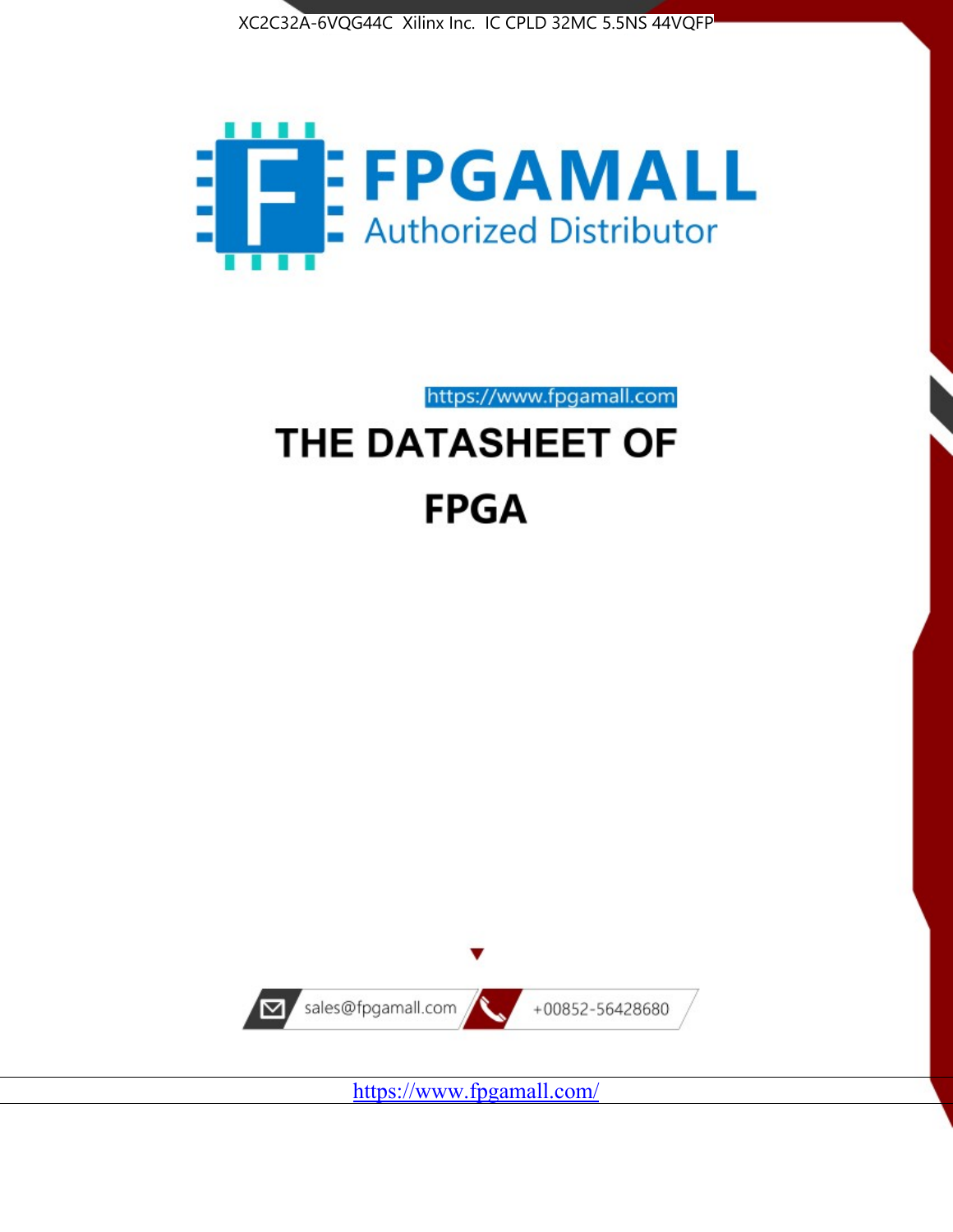



https://www.fpgamall.com THE DATASHEET OF

# **FPGA**



<https://www.fpgamall.com/>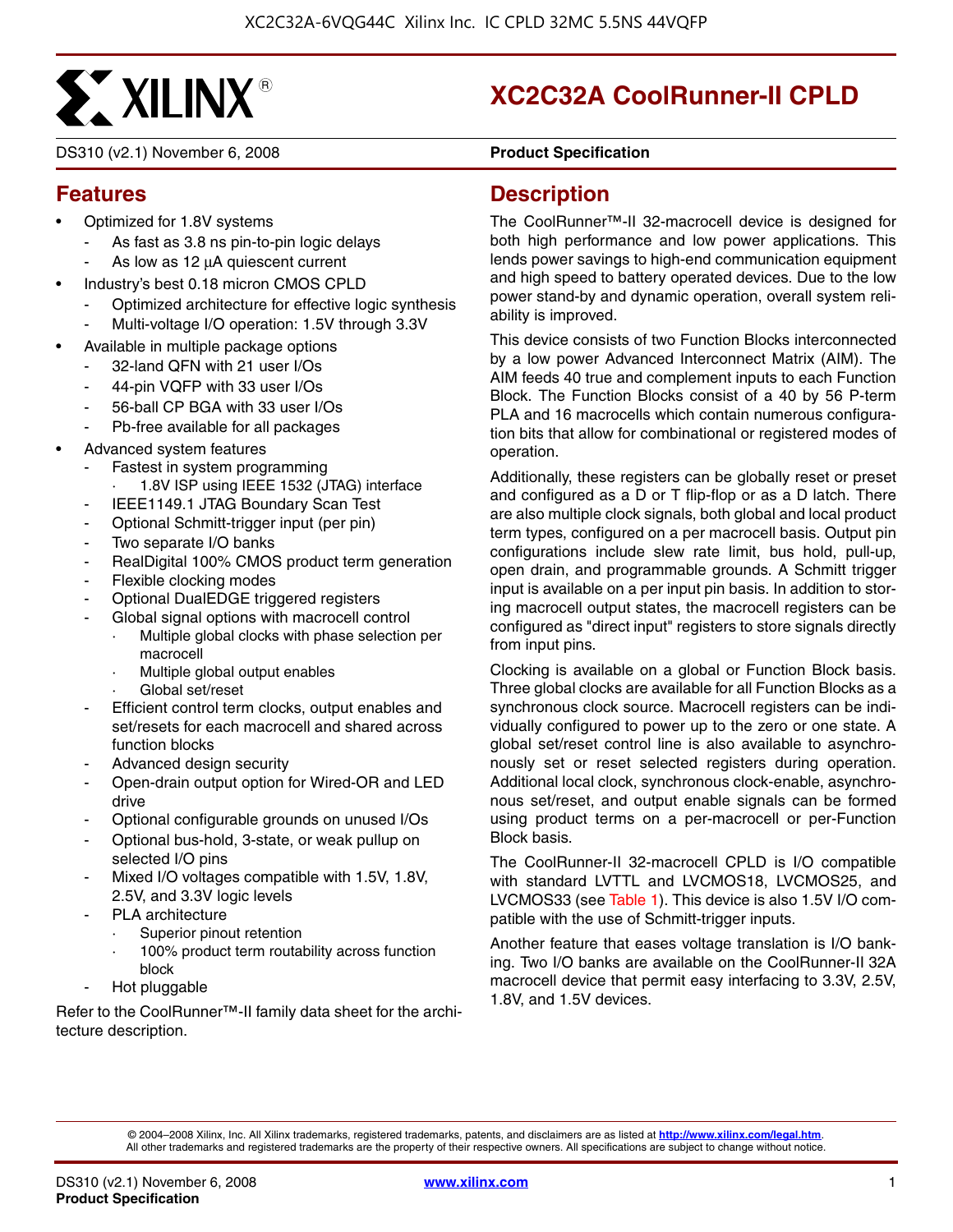

DS310 (v2.1) November 6, 2008 **DS310 (v2.1)** Product Specification

## **XC2C32A CoolRunner-II CPLD**

#### **Features**

- Optimized for 1.8V systems
	- As fast as 3.8 ns pin-to-pin logic delays
	- As low as 12 μA quiescent current
- Industry's best 0.18 micron CMOS CPLD
	- Optimized architecture for effective logic synthesis
	- Multi-voltage I/O operation: 1.5V through 3.3V
- Available in multiple package options
	- 32-land QFN with 21 user I/Os
	- 44-pin VQFP with 33 user I/Os
	- 56-ball CP BGA with 33 user I/Os
	- Pb-free available for all packages
- Advanced system features
	- Fastest in system programming
		- 1.8V ISP using IEEE 1532 (JTAG) interface
		- IEEE1149.1 JTAG Boundary Scan Test
	- Optional Schmitt-trigger input (per pin)
	- Two separate I/O banks
	- RealDigital 100% CMOS product term generation
	- Flexible clocking modes
	- Optional DualEDGE triggered registers
	- Global signal options with macrocell control
		- Multiple global clocks with phase selection per macrocell
		- Multiple global output enables
		- Global set/reset
	- Efficient control term clocks, output enables and set/resets for each macrocell and shared across function blocks
	- Advanced design security
	- Open-drain output option for Wired-OR and LED drive
	- Optional configurable grounds on unused I/Os
	- Optional bus-hold, 3-state, or weak pullup on selected I/O pins
	- Mixed I/O voltages compatible with 1.5V, 1.8V, 2.5V, and 3.3V logic levels
	- PLA architecture
		- Superior pinout retention
		- 100% product term routability across function block
	- Hot pluggable

Refer to the CoolRunner™-II family data sheet for the architecture description.

#### **Description**

The CoolRunner™-II 32-macrocell device is designed for both high performance and low power applications. This lends power savings to high-end communication equipment and high speed to battery operated devices. Due to the low power stand-by and dynamic operation, overall system reliability is improved.

This device consists of two Function Blocks interconnected by a low power Advanced Interconnect Matrix (AIM). The AIM feeds 40 true and complement inputs to each Function Block. The Function Blocks consist of a 40 by 56 P-term PLA and 16 macrocells which contain numerous configuration bits that allow for combinational or registered modes of operation.

Additionally, these registers can be globally reset or preset and configured as a D or T flip-flop or as a D latch. There are also multiple clock signals, both global and local product term types, configured on a per macrocell basis. Output pin configurations include slew rate limit, bus hold, pull-up, open drain, and programmable grounds. A Schmitt trigger input is available on a per input pin basis. In addition to storing macrocell output states, the macrocell registers can be configured as "direct input" registers to store signals directly from input pins.

Clocking is available on a global or Function Block basis. Three global clocks are available for all Function Blocks as a synchronous clock source. Macrocell registers can be individually configured to power up to the zero or one state. A global set/reset control line is also available to asynchronously set or reset selected registers during operation. Additional local clock, synchronous clock-enable, asynchronous set/reset, and output enable signals can be formed using product terms on a per-macrocell or per-Function Block basis.

The CoolRunner-II 32-macrocell CPLD is I/O compatible with standard LVTTL and LVCMOS18, LVCMOS25, and LVCMOS33 (see Table 1). This device is also 1.5V I/O compatible with the use of Schmitt-trigger inputs.

Another feature that eases voltage translation is I/O banking. Two I/O banks are available on the CoolRunner-II 32A macrocell device that permit easy interfacing to 3.3V, 2.5V, 1.8V, and 1.5V devices.

© 2004–2008 Xilinx, Inc. All Xilinx trademarks, registered trademarks, patents, and disclaimers are as listed at **<http://www.xilinx.com/legal.htm>**. All other trademarks and registered trademarks are the property of their respective owners. All specifications are subject to change without notice.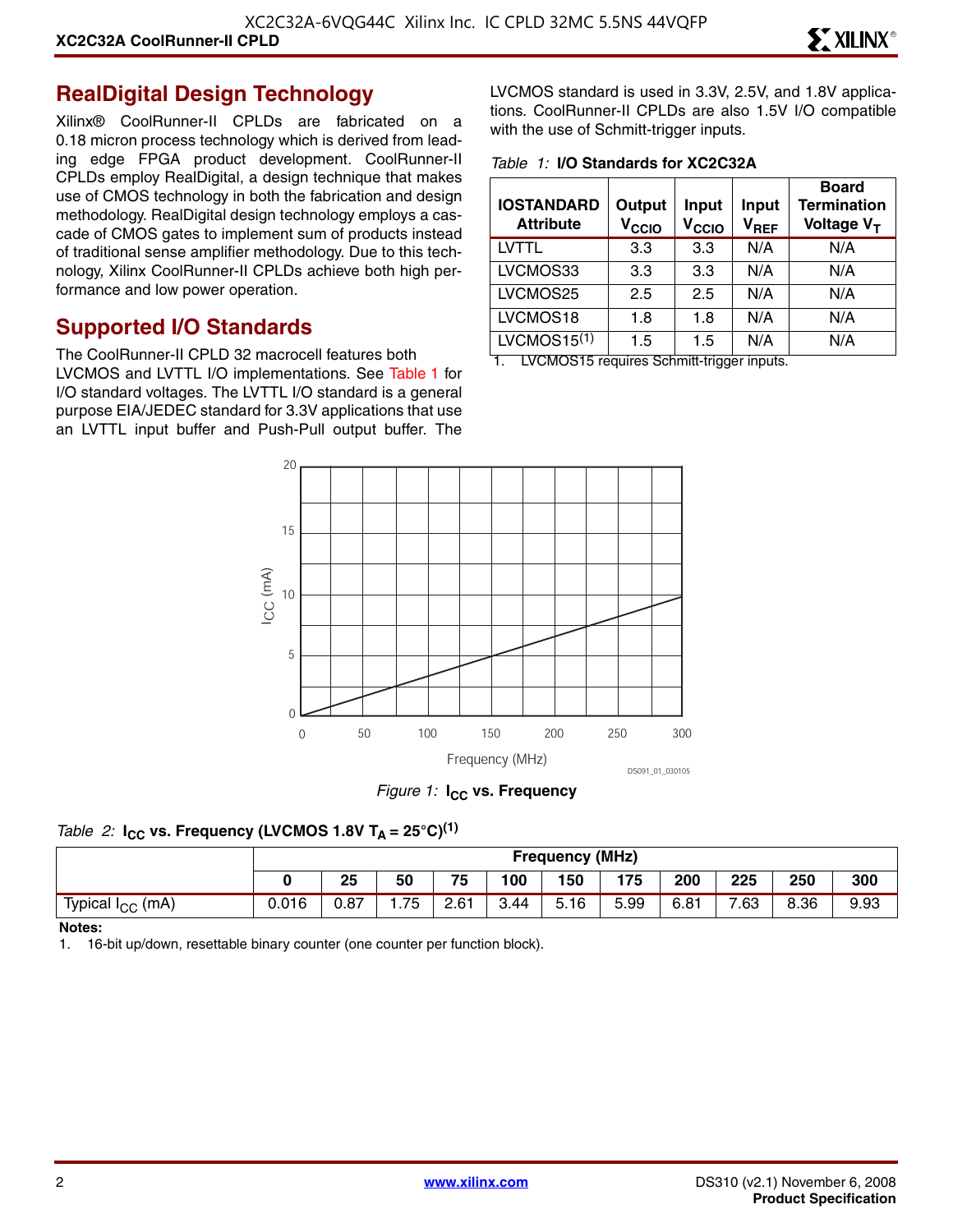#### **RealDigital Design Technology**

Xilinx® CoolRunner-II CPLDs are fabricated on a 0.18 micron process technology which is derived from leading edge FPGA product development. CoolRunner-II CPLDs employ RealDigital, a design technique that makes use of CMOS technology in both the fabrication and design methodology. RealDigital design technology employs a cascade of CMOS gates to implement sum of products instead of traditional sense amplifier methodology. Due to this technology, Xilinx CoolRunner-II CPLDs achieve both high performance and low power operation.

#### **Supported I/O Standards**

The CoolRunner-II CPLD 32 macrocell features both LVCMOS and LVTTL I/O implementations. See Table 1 for I/O standard voltages. The LVTTL I/O standard is a general purpose EIA/JEDEC standard for 3.3V applications that use an LVTTL input buffer and Push-Pull output buffer. The LVCMOS standard is used in 3.3V, 2.5V, and 1.8V applications. CoolRunner-II CPLDs are also 1.5V I/O compatible with the use of Schmitt-trigger inputs.

*Table 1:* **I/O Standards for XC2C32A**

| <b>IOSTANDARD</b><br><b>Attribute</b> | Output<br>V <sub>CCIO</sub> | Input<br>V <sub>CCIO</sub> | <b>Input</b><br>$V_{REF}$ | <b>Board</b><br><b>Termination</b><br>Voltage V <sub>T</sub> |
|---------------------------------------|-----------------------------|----------------------------|---------------------------|--------------------------------------------------------------|
| LVTTL                                 | 3.3                         | 3.3                        | N/A                       | N/A                                                          |
| LVCMOS33                              | 3.3                         | 3.3                        | N/A                       | N/A                                                          |
| LVCMOS25                              | 2.5                         | 2.5                        | N/A                       | N/A                                                          |
| LVCMOS18                              | 1.8                         | 1.8                        | N/A                       | N/A                                                          |
| LVCMOS15 $(1)$                        | 1.5                         | 1.5                        | N/A                       | N/A                                                          |

1. LVCMOS15 requires Schmitt-trigger inputs.



*Figure 1:* **I<sub>CC</sub>** vs. Frequency

#### *Table 2:* **I<sub>CC</sub>** vs. Frequency (LVCMOS 1.8V T<sub>A</sub> = 25°C)<sup>(1)</sup>

|                              |       | <b>Frequency (MHz)</b> |     |      |      |                                  |      |      |      |      |      |
|------------------------------|-------|------------------------|-----|------|------|----------------------------------|------|------|------|------|------|
|                              |       | 25                     | 50  | 75   | 100  | 150                              | 175  | 200  | 225  | 250  | 300  |
| Typical I <sub>CC</sub> (mA) | 0.016 | 0.87                   | .75 | 2.61 | 3.44 | $\overline{\phantom{0}}$<br>5.16 | 5.99 | 6.81 | 7.63 | 8.36 | 9.93 |

#### **Notes:**

1. 16-bit up/down, resettable binary counter (one counter per function block).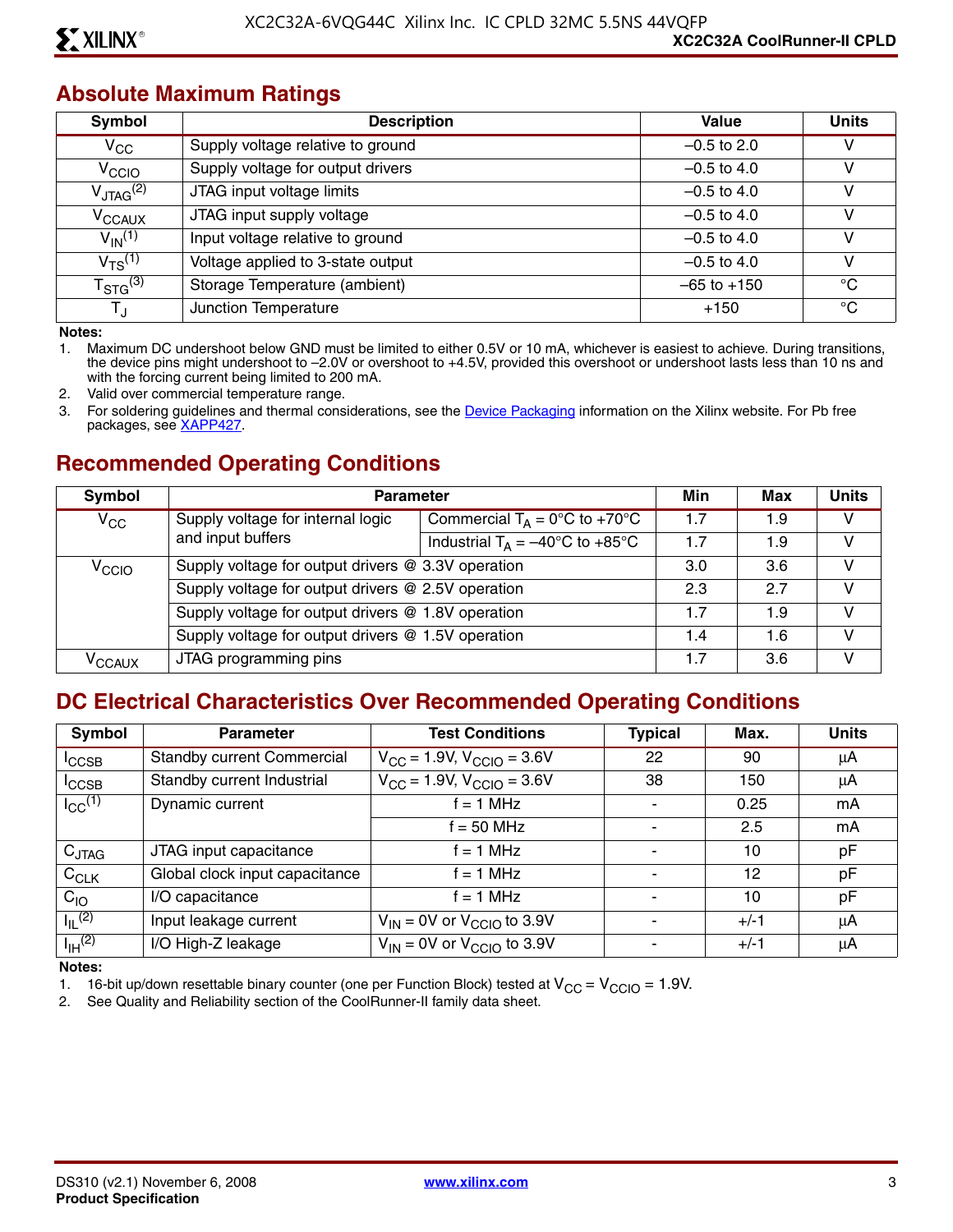#### **Absolute Maximum Ratings**

| Symbol                 | <b>Description</b>                | <b>Value</b>    | <b>Units</b> |
|------------------------|-----------------------------------|-----------------|--------------|
| $V_{\rm CC}$           | Supply voltage relative to ground | $-0.5$ to 2.0   |              |
| V <sub>CCIO</sub>      | Supply voltage for output drivers | $-0.5$ to 4.0   |              |
| $V_{JTAG}^{(2)}$       | JTAG input voltage limits         | $-0.5$ to 4.0   |              |
| V <sub>CCAUX</sub>     | JTAG input supply voltage         | $-0.5$ to 4.0   | v            |
| $V_{\text{IN}}^{(1)}$  | Input voltage relative to ground  | $-0.5$ to 4.0   |              |
| $V_{TS}^{(1)}$         | Voltage applied to 3-state output | $-0.5$ to 4.0   |              |
| $T_{\text{STG}}^{(3)}$ | Storage Temperature (ambient)     | $-65$ to $+150$ | °C           |
| Т.,                    | Junction Temperature              | $+150$          | °C           |

**Notes:** 

1. Maximum DC undershoot below GND must be limited to either 0.5V or 10 mA, whichever is easiest to achieve. During transitions, the device pins might undershoot to –2.0V or overshoot to +4.5V, provided this overshoot or undershoot lasts less than 10 ns and with the forcing current being limited to 200 mA.

2. Valid over commercial temperature range.

3. For soldering guidelines and thermal considerations, see the [Device Packaging](http://www.xilinx.com/support/documentation/package_specifications.htm) information on the Xilinx website. For Pb free packages, see [XAPP427](http://www.xilinx.com/support/documentation/application_notes/xapp427.pdf).

#### **Recommended Operating Conditions**

| Symbol              | <b>Parameter</b>                                   |                                                   |     | Max | <b>Units</b> |
|---------------------|----------------------------------------------------|---------------------------------------------------|-----|-----|--------------|
| $V_{\rm CC}$        | Supply voltage for internal logic                  | Commercial $T_A = 0$ °C to +70°C                  |     | 1.9 | v            |
|                     | and input buffers                                  | Industrial $T_A = -40^{\circ}C$ to $+85^{\circ}C$ | 1.7 | 1.9 | v            |
| V <sub>CCIO</sub>   | Supply voltage for output drivers @ 3.3V operation |                                                   | 3.0 | 3.6 | V            |
|                     | Supply voltage for output drivers @ 2.5V operation |                                                   | 2.3 | 2.7 | V            |
|                     | Supply voltage for output drivers @ 1.8V operation |                                                   | 1.7 | 1.9 | V            |
|                     | Supply voltage for output drivers @ 1.5V operation |                                                   | 1.4 | 1.6 | V            |
| $\rm v_{\rm CCAUX}$ | JTAG programming pins                              |                                                   | 1.7 | 3.6 | v            |

#### **DC Electrical Characteristics Over Recommended Operating Conditions**

| Symbol                      | <b>Parameter</b>                  | <b>Test Conditions</b>                            | <b>Typical</b> | Max.   | <b>Units</b> |
|-----------------------------|-----------------------------------|---------------------------------------------------|----------------|--------|--------------|
| <sup>I</sup> CCSB           | <b>Standby current Commercial</b> | $V_{\rm CC}$ = 1.9V, $V_{\rm CCIO}$ = 3.6V        | 22             | 90     | μA           |
| <sup>I</sup> CCSB           | Standby current Industrial        | $V_{\text{CC}} = 1.9V$ , $V_{\text{CCIO}} = 3.6V$ | 38             | 150    | μA           |
| $I_{\rm CC}$ <sup>(1)</sup> | Dynamic current                   | f = 1 MHz                                         |                | 0.25   | mA           |
|                             |                                   | $f = 50$ MHz                                      |                | 2.5    | mA           |
| $C_{JTAG}$                  | JTAG input capacitance            | $= 1 MHz$                                         |                | 10     | pF           |
| $C_{CLK}$                   | Global clock input capacitance    | $= 1$ MHz                                         |                | 12     | pF           |
| $C_{10}$                    | I/O capacitance                   | $= 1 MHz$                                         |                | 10     | pF           |
| $I_{\parallel}$ (2)         | Input leakage current             | $V_{IN}$ = 0V or $V_{CGIO}$ to 3.9V               |                | $+/-1$ | μA           |
| $I_{\text{IH}}^{(2)}$       | I/O High-Z leakage                | $V_{IN}$ = 0V or $V_{CClO}$ to 3.9V               |                | $+/-1$ | μA           |

**Notes:** 

1. 16-bit up/down resettable binary counter (one per Function Block) tested at  $V_{CC} = V_{CCIO} = 1.9V$ .<br>2. See Quality and Reliability section of the CoolRunner-II family data sheet.

See Quality and Reliability section of the CoolRunner-II family data sheet.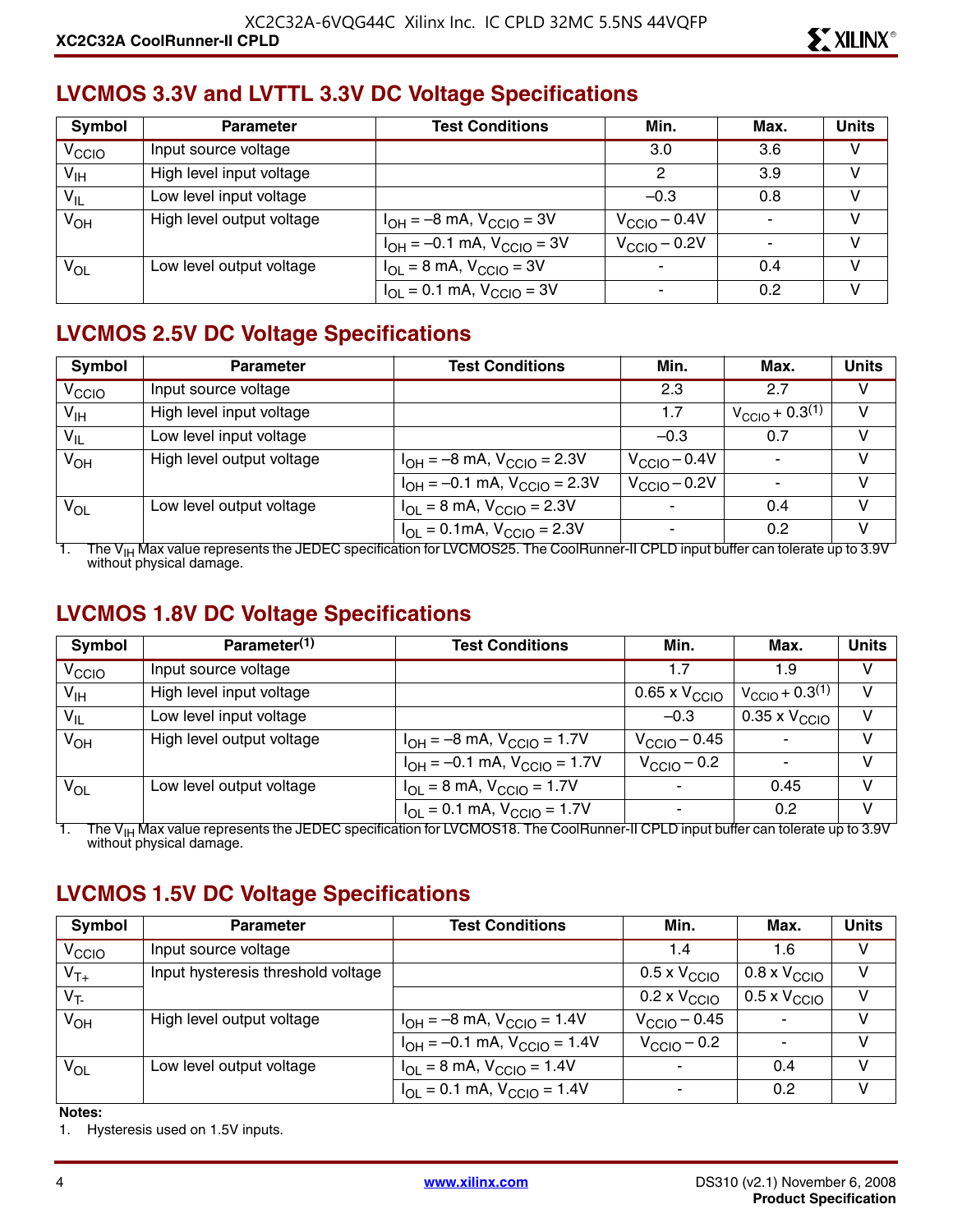## **LVCMOS 3.3V and LVTTL 3.3V DC Voltage Specifications**

| Symbol            | <b>Parameter</b>          | <b>Test Conditions</b>                                  | Min.                     | Max. | <b>Units</b> |
|-------------------|---------------------------|---------------------------------------------------------|--------------------------|------|--------------|
| V <sub>CCIO</sub> | Input source voltage      |                                                         | 3.0                      | 3.6  | V            |
| $V_{\text{IH}}$   | High level input voltage  |                                                         | 2                        | 3.9  | V            |
| $V_{IL}$          | Low level input voltage   |                                                         | $-0.3$                   | 0.8  | V            |
| $V_{OH}$          | High level output voltage | $I_{OH} = -8$ mA, $V_{CClO} = 3V$                       | $V_{\text{CCIO}} - 0.4V$ |      | v            |
|                   |                           | $I_{OH} = -0.1$ mA, $V_{CGIO} = 3V$                     | $V_{\text{CCIO}} - 0.2V$ |      | $\vee$       |
| $V_{OL}$          | Low level output voltage  | $I_{\text{OI}} = 8 \text{ mA}$ , $V_{\text{CClO}} = 3V$ |                          | 0.4  | V            |
|                   |                           | $I_{OL} = 0.1$ mA, $V_{CCIO} = 3V$                      |                          | 0.2  | V            |

## **LVCMOS 2.5V DC Voltage Specifications**

| Symbol            | <b>Parameter</b>          | <b>Test Conditions</b>                                             | Min.                     | Max.                          | <b>Units</b> |
|-------------------|---------------------------|--------------------------------------------------------------------|--------------------------|-------------------------------|--------------|
| V <sub>CCIO</sub> | Input source voltage      |                                                                    | 2.3                      | 2.7                           | v            |
| V <sub>IH</sub>   | High level input voltage  |                                                                    | 1.7                      | $V_{\text{CCIO}} + 0.3^{(1)}$ | V            |
| $V_{IL}$          | Low level input voltage   |                                                                    | $-0.3$                   | 0.7                           | V            |
| $V_{OH}$          | High level output voltage | $I_{OH} = -8$ mA, $V_{CGIO} = 2.3V$                                | $V_{\rm CClO}$ – 0.4V    |                               | v            |
|                   |                           | $I_{OH} = -0.1$ mA, $V_{CGIO} = 2.3V$                              | $V_{\text{CCIO}} - 0.2V$ |                               | v            |
| $V_{OL}$          | Low level output voltage  | $I_{OL}$ = 8 mA, $V_{CCIO}$ = 2.3V                                 | $\overline{\phantom{a}}$ | 0.4                           | V            |
|                   |                           | $I_{\text{OI}} = 0.1 \text{mA}$ , $V_{\text{CGIO}} = 2.3 \text{V}$ |                          | 0.2                           | V            |

1. The V<sub>IH</sub> Max value represents the JEDEC specification for LVCMOS25. The CoolRunner-II CPLD input buffer can tolerate up to 3.9V without physical damage.

#### **LVCMOS 1.8V DC Voltage Specifications**

| Symbol            | Parameter <sup>(1)</sup>  | Test Conditions                                                      | Min.                     | Max.                          | Units |
|-------------------|---------------------------|----------------------------------------------------------------------|--------------------------|-------------------------------|-------|
| V <sub>CCIO</sub> | Input source voltage      |                                                                      | 1.7                      | 1.9                           | v     |
| $V_{\text{IH}}$   | High level input voltage  |                                                                      | 0.65 x $\rm V_{\rm CCO}$ | $V_{\text{CCIO}} + 0.3^{(1)}$ | V     |
| $V_{IL}$          | Low level input voltage   |                                                                      | $-0.3$                   | 0.35 x $\rm V_{\rm CClO}$     | V     |
| $V_{OH}$          | High level output voltage | $I_{OH} = -8$ mA, $V_{CCIO} = 1.7V$                                  | $V_{\rm CClO}$ – 0.45    |                               | v     |
|                   |                           | $I_{OH} = -0.1$ mA, $V_{CCIO} = 1.7V$                                | $V_{\text{CCIO}} - 0.2$  |                               | v     |
| $V_{OL}$          | Low level output voltage  | $I_{OL} = 8$ mA, $V_{CCIO} = 1.7V$                                   | $\blacksquare$           | 0.45                          | v     |
|                   |                           | $I_{\text{OI}} = 0.1 \text{ mA}$ , $V_{\text{CCIO}} = 1.7 \text{ V}$ | ۰                        | 0.2                           | V     |

1. The V<sub>IH</sub> Max value represents the JEDEC specification for LVCMOS18. The CoolRunner-II CPLD input buffer can tolerate up to 3.9V<br>without physical damage.

## **LVCMOS 1.5V DC Voltage Specifications**

| Symbol            | <b>Parameter</b>                   | <b>Test Conditions</b>                | Min.                         | Max.                         | <b>Units</b> |
|-------------------|------------------------------------|---------------------------------------|------------------------------|------------------------------|--------------|
| V <sub>CCIO</sub> | Input source voltage               |                                       | 1.4                          | 1.6                          | v            |
| $V_{T+}$          | Input hysteresis threshold voltage |                                       | $0.5 \times V_{\text{CCIO}}$ | $0.8 \times V_{\text{CCIO}}$ | v            |
| $V_T$             |                                    |                                       | $0.2 \times V_{\text{CCIO}}$ | $0.5 \times V_{\text{CCIO}}$ | V            |
| $V_{OH}$          | High level output voltage          | $I_{OH} = -8$ mA, $V_{CGIO} = 1.4V$   | $V_{\text{CCIO}} - 0.45$     |                              | v            |
|                   |                                    | $I_{OH} = -0.1$ mA, $V_{CCIO} = 1.4V$ | $V_{\text{CCIO}} - 0.2$      |                              | v            |
| $V_{OL}$          | Low level output voltage           | $I_{OL} = 8$ mA, $V_{CCIO} = 1.4V$    | ٠                            | 0.4                          | V            |
|                   |                                    | $I_{OL} = 0.1$ mA, $V_{CCIO} = 1.4V$  |                              | 0.2                          | V            |

#### **Notes:**

1. Hysteresis used on 1.5V inputs.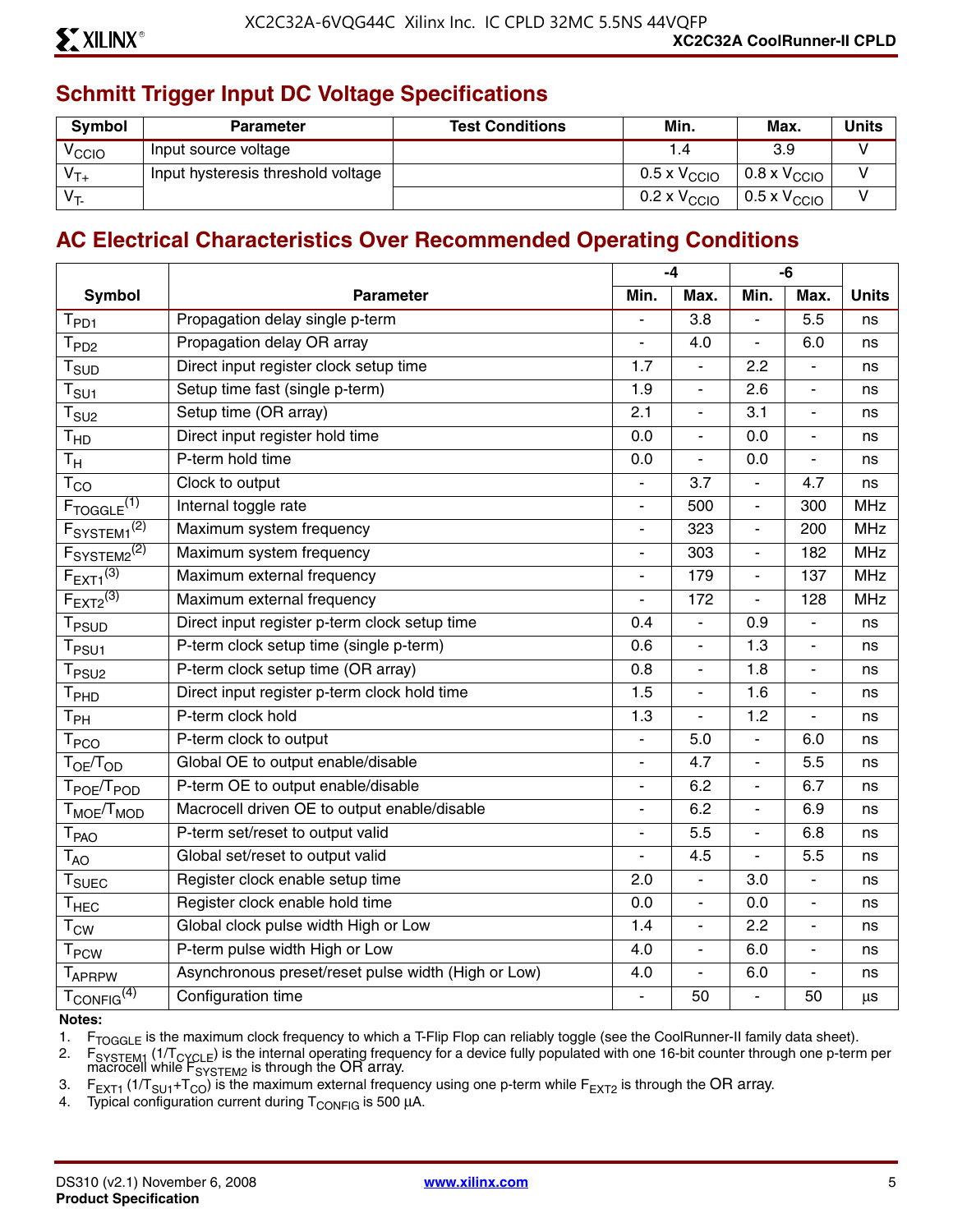#### **Schmitt Trigger Input DC Voltage Specifications**

| <b>Symbol</b>     | <b>Parameter</b>                   | <b>Test Conditions</b> | Min.                         | Max.                         | <b>Units</b> |
|-------------------|------------------------------------|------------------------|------------------------------|------------------------------|--------------|
| <sup>V</sup> CCIO | Input source voltage               |                        |                              | 3.9                          |              |
| $V_{T+}$          | Input hysteresis threshold voltage |                        | $0.5 \times V_{\text{CCIO}}$ | $0.8 \times V_{\text{CCIO}}$ |              |
| $V_T$             |                                    |                        | $0.2 \times V_{\text{CCIO}}$ | $0.5 \times V_{\text{CCIO}}$ |              |

#### **AC Electrical Characteristics Over Recommended Operating Conditions**

|                                               |                                                     |                          | $-4$                     |                          | -6                       |              |
|-----------------------------------------------|-----------------------------------------------------|--------------------------|--------------------------|--------------------------|--------------------------|--------------|
| <b>Symbol</b>                                 | <b>Parameter</b>                                    | Min.                     | Max.                     | Min.                     | Max.                     | <b>Units</b> |
| $T_{PD1}$                                     | Propagation delay single p-term                     |                          | $\overline{3.8}$         | L.                       | $\overline{5.5}$         | ns           |
| T <sub>PD2</sub>                              | Propagation delay OR array                          |                          | 4.0                      | $\overline{a}$           | 6.0                      | ns           |
| $\mathsf{T}_{\textsf{SUD}}$                   | Direct input register clock setup time              | 1.7                      | $\blacksquare$           | 2.2                      | $\blacksquare$           | ns           |
| $\mathsf{T}_{\mathsf{S}\mathsf{U}\mathsf{1}}$ | Setup time fast (single p-term)                     | 1.9                      | ÷,                       | 2.6                      | $\blacksquare$           | ns           |
| $T_{\mathsf{SU2}}$                            | Setup time (OR array)                               | $\overline{2.1}$         | $\overline{a}$           | 3.1                      | $\overline{a}$           | ns           |
| T <sub>HD</sub>                               | Direct input register hold time                     | 0.0                      | $\blacksquare$           | 0.0                      | $\blacksquare$           | ns           |
| $T_{\mathsf{H}}$                              | P-term hold time                                    | 0.0                      | ÷,                       | 0.0                      | $\blacksquare$           | ns           |
| $T_{CO}$                                      | Clock to output                                     |                          | 3.7                      | $\overline{a}$           | 4.7                      | ns           |
| $F_{TOGGLE}$ <sup>(1)</sup>                   | Internal toggle rate                                | $\overline{\phantom{a}}$ | 500                      | ä,                       | 300                      | <b>MHz</b>   |
| F <sub>SYSTEM1</sub> <sup>(2)</sup>           | Maximum system frequency                            | $\overline{\phantom{a}}$ | 323                      | $\overline{\phantom{a}}$ | 200                      | <b>MHz</b>   |
| F <sub>S</sub> YSTEM2 <sup>(2)</sup>          | Maximum system frequency                            |                          | 303                      | $\overline{a}$           | 182                      | <b>MHz</b>   |
| $F_{\text{EXT}1}^{(3)}$                       | Maximum external frequency                          |                          | 179                      | $\overline{a}$           | 137                      | <b>MHz</b>   |
| $F_{EXT2}^{(3)}$                              | Maximum external frequency                          | $\blacksquare$           | 172                      | $\overline{a}$           | 128                      | <b>MHz</b>   |
| T <sub>PSUD</sub>                             | Direct input register p-term clock setup time       | 0.4                      | $\overline{\phantom{a}}$ | 0.9                      | $\blacksquare$           | ns           |
| $\mathsf{T}_{\mathsf{PSU1}}$                  | P-term clock setup time (single p-term)             | 0.6                      | $\overline{\phantom{a}}$ | 1.3                      | $\blacksquare$           | ns           |
| T <sub>PSU2</sub>                             | P-term clock setup time (OR array)                  | 0.8                      | ÷,                       | 1.8                      | $\blacksquare$           | ns           |
| T <sub>PHD</sub>                              | Direct input register p-term clock hold time        | 1.5                      | $\overline{\phantom{a}}$ | 1.6                      | $\blacksquare$           | ns           |
| $\mathsf{T}_{\mathsf{PH}}$                    | P-term clock hold                                   | 1.3                      | ÷,                       | 1.2                      | $\blacksquare$           | ns           |
| T <sub>PCO</sub>                              | P-term clock to output                              | $\overline{a}$           | 5.0                      | $\overline{a}$           | 6.0                      | ns           |
| $T_{OE}/T_{OD}$                               | Global OE to output enable/disable                  |                          | 4.7                      | $\overline{a}$           | 5.5                      | ns           |
| T <sub>POE</sub> /T <sub>POD</sub>            | P-term OE to output enable/disable                  | $\blacksquare$           | 6.2                      | $\blacksquare$           | 6.7                      | ns           |
| $T_{\mathsf{MOE}}/T_{\mathsf{MOD}}$           | Macrocell driven OE to output enable/disable        | $\blacksquare$           | 6.2                      | ä,                       | 6.9                      | ns           |
| <b>T</b> <sub>PAO</sub>                       | P-term set/reset to output valid                    |                          | $\overline{5.5}$         | $\overline{a}$           | 6.8                      | ns           |
| $T_{AO}$                                      | Global set/reset to output valid                    |                          | 4.5                      | ÷,                       | 5.5                      | ns           |
| $\mathsf{T}_{\mathsf{SUEC}}$                  | Register clock enable setup time                    | 2.0                      | $\frac{1}{2}$            | 3.0                      | $\blacksquare$           | ns           |
| $T_{HEC}$                                     | Register clock enable hold time                     | 0.0                      | $\overline{a}$           | 0.0                      | $\overline{a}$           | ns           |
| $\mathsf{T}_{\mathsf{CW}}$                    | Global clock pulse width High or Low                | 1.4                      | $\overline{\phantom{0}}$ | 2.2                      | $\overline{\phantom{a}}$ | ns           |
| <b>T</b> <sub>PCW</sub>                       | P-term pulse width High or Low                      | 4.0                      | $\overline{\phantom{0}}$ | 6.0                      | $\blacksquare$           | ns           |
| <b>TAPRPW</b>                                 | Asynchronous preset/reset pulse width (High or Low) | 4.0                      | $\overline{a}$           | 6.0                      | $\overline{a}$           | ns           |
| $T_{\text{CONFIG}}^{(4)}$                     | Configuration time                                  | $\overline{\phantom{a}}$ | 50                       | $\blacksquare$           | 50                       | μs           |

**Notes:** 

1. F<sub>TOGGLE</sub> is the maximum clock frequency to which a T-Flip Flop can reliably toggle (see the CoolRunner-II family data sheet).<br>2. F<sub>SYSTEM1</sub> (1/T<sub>CYCLE</sub>) is the internal operating frequency for a device fully populated

2. F<sub>SYSTEM1</sub> (1/T<sub>CYCLE</sub>) is the internal operating frequency for a device fully populated with one 16-bit counter through one p-term per macrocell while  $F_{\text{SYSTEM2}}$  is through the OR array.

3. F<sub>EXT1</sub> (1/T<sub>SU1</sub>+T<sub>CO</sub>) is the maximum external frequency using one p-term while F<sub>EXT2</sub> is through the OR array.<br>4. Typical configuration current during T<sub>CONFIG</sub> is 500 µA.

Typical configuration current during  $T_{\text{CONFIG}}$  is 500  $\mu$ A.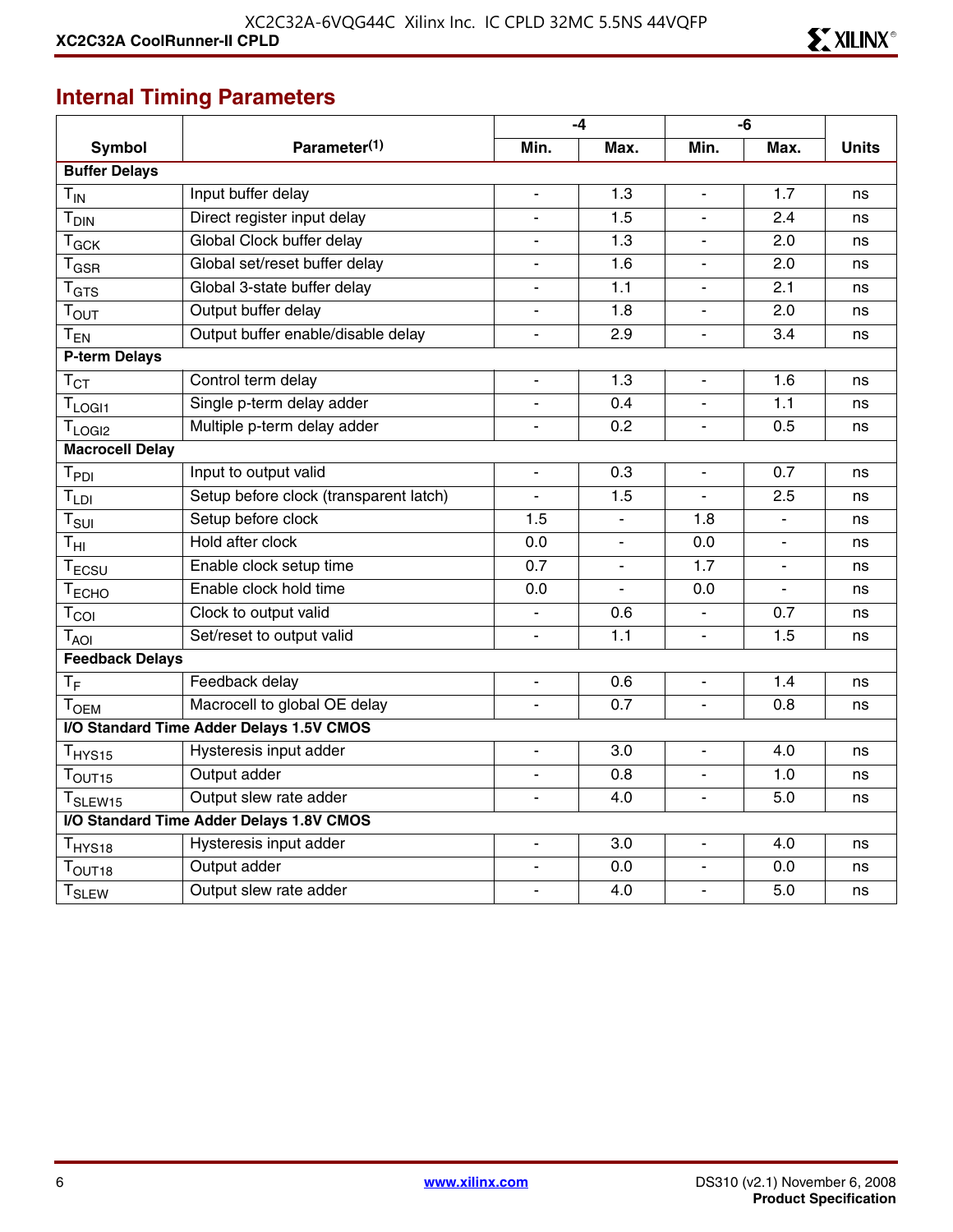## **Internal Timing Parameters**

|                              |                                          | $-4$                     |                |                              | -6             |              |
|------------------------------|------------------------------------------|--------------------------|----------------|------------------------------|----------------|--------------|
| <b>Symbol</b>                | Parameter <sup>(1)</sup>                 | Min.                     | Max.           | Min.                         | Max.           | <b>Units</b> |
| <b>Buffer Delays</b>         |                                          |                          |                |                              |                |              |
| $T_{IN}$                     | Input buffer delay                       | $\blacksquare$           | 1.3            | ÷,                           | 1.7            | ns           |
| <b>T</b> <sub>DIN</sub>      | Direct register input delay              | $\blacksquare$           | 1.5            | L.                           | 2.4            | ns           |
| $T_{GCK}$                    | Global Clock buffer delay                |                          | 1.3            |                              | 2.0            | ns           |
| $T_{\text{GSR}}$             | Global set/reset buffer delay            | $\blacksquare$           | 1.6            | $\overline{\phantom{0}}$     | 2.0            | ns           |
| $T_{\hbox{\scriptsize GTS}}$ | Global 3-state buffer delay              | $\overline{\phantom{a}}$ | 1.1            | $\overline{\phantom{0}}$     | 2.1            | ns           |
| T <sub>OUT</sub>             | Output buffer delay                      | $\overline{\phantom{a}}$ | 1.8            | $\blacksquare$               | 2.0            | ns           |
| $T_{EN}$                     | Output buffer enable/disable delay       | $\blacksquare$           | 2.9            | ÷,                           | 3.4            | ns           |
| <b>P-term Delays</b>         |                                          |                          |                |                              |                |              |
| $T_{CT}$                     | Control term delay                       | $\blacksquare$           | 1.3            | $\overline{\phantom{a}}$     | 1.6            | ns           |
| $T_{LOGI1}$                  | Single p-term delay adder                | $\blacksquare$           | 0.4            | ä,                           | 1.1            | ns           |
| T <sub>LOGI2</sub>           | Multiple p-term delay adder              | $\blacksquare$           | 0.2            | $\blacksquare$               | 0.5            | ns           |
| <b>Macrocell Delay</b>       |                                          |                          |                |                              |                |              |
| $T_{PDI}$                    | Input to output valid                    | $\overline{a}$           | 0.3            |                              | 0.7            | ns           |
| $T_{LDI}$                    | Setup before clock (transparent latch)   | $\blacksquare$           | 1.5            | L.                           | 2.5            | ns           |
| $\mathsf{T}_{\mathsf{SUI}}$  | Setup before clock                       | 1.5                      | $\blacksquare$ | 1.8                          | $\blacksquare$ | ns           |
| $T_{\rm HI}$                 | Hold after clock                         | 0.0                      | $\blacksquare$ | 0.0                          | $\blacksquare$ | ns           |
| $T_{ECSU}$                   | Enable clock setup time                  | 0.7                      |                | 1.7                          |                | ns           |
| T <sub>ECHO</sub>            | Enable clock hold time                   | 0.0                      |                | 0.0                          | $\blacksquare$ | ns           |
| $T_{COI}$                    | Clock to output valid                    | $\overline{\phantom{a}}$ | 0.6            | $\qquad \qquad \blacksquare$ | 0.7            | ns           |
| $T_{AOI}$                    | Set/reset to output valid                | $\overline{\phantom{a}}$ | 1.1            | $\overline{a}$               | 1.5            | ns           |
| <b>Feedback Delays</b>       |                                          |                          |                |                              |                |              |
| $T_F$                        | Feedback delay                           | $\blacksquare$           | 0.6            | $\overline{a}$               | 1.4            | ns           |
| <b>TOEM</b>                  | Macrocell to global OE delay             | $\blacksquare$           | 0.7            | $\overline{\phantom{0}}$     | 0.8            | ns           |
|                              | I/O Standard Time Adder Delays 1.5V CMOS |                          |                |                              |                |              |
| T <sub>HYS15</sub>           | Hysteresis input adder                   | $\overline{\phantom{a}}$ | 3.0            | $\overline{\phantom{a}}$     | 4.0            | ns           |
| T <sub>OUT15</sub>           | Output adder                             | $\overline{\phantom{a}}$ | 0.8            | $\overline{\phantom{a}}$     | 1.0            | ns           |
| T <sub>SLEW15</sub>          | Output slew rate adder                   |                          | 4.0            |                              | 5.0            | ns           |
|                              | I/O Standard Time Adder Delays 1.8V CMOS |                          |                |                              |                |              |
| T <sub>HYS18</sub>           | Hysteresis input adder                   | $\blacksquare$           | 3.0            | ä,                           | 4.0            | ns           |
| T <sub>OUT18</sub>           | Output adder                             | $\overline{\phantom{a}}$ | 0.0            | $\overline{\phantom{0}}$     | 0.0            | ns           |
| <b>T</b> <sub>SLEW</sub>     | Output slew rate adder                   |                          | 4.0            | $\overline{a}$               | 5.0            | ns           |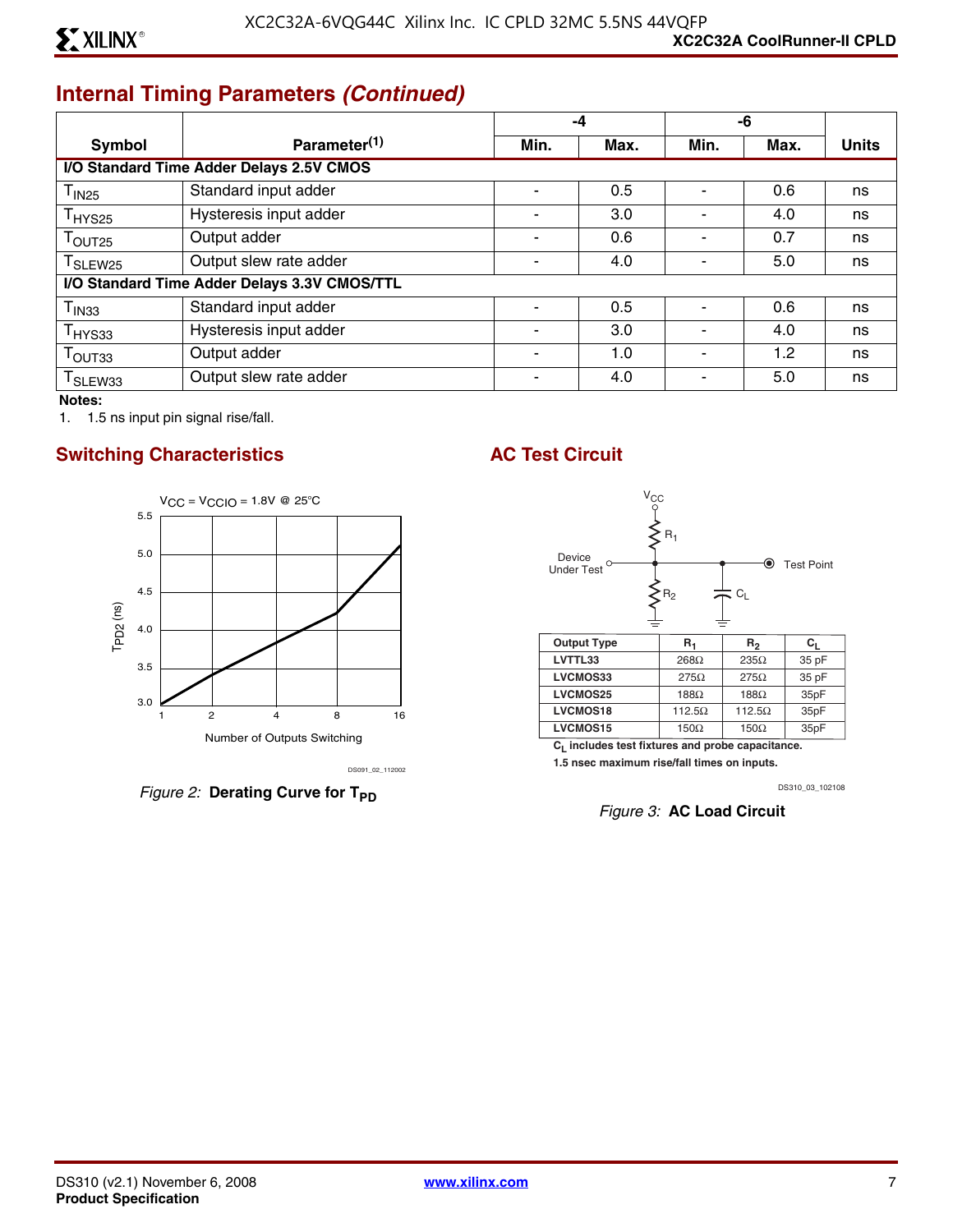## **Internal Timing Parameters** *(Continued)*

|                               |                                              | -4             |      |      | -6               |              |  |
|-------------------------------|----------------------------------------------|----------------|------|------|------------------|--------------|--|
| Symbol                        | Parameter <sup>(1)</sup>                     | Min.           | Max. | Min. | Max.             | <b>Units</b> |  |
|                               | I/O Standard Time Adder Delays 2.5V CMOS     |                |      |      |                  |              |  |
| $\mathsf{T}_{\mathsf{IN25}}$  | Standard input adder                         |                | 0.5  |      | 0.6              | ns           |  |
| $T_{HYS25}$                   | Hysteresis input adder                       | $\blacksquare$ | 3.0  |      | 4.0              | ns           |  |
| $T_{\text{OUT25}}$            | Output adder                                 | ۰              | 0.6  |      | 0.7              | ns           |  |
| T <sub>SLEW25</sub>           | Output slew rate adder                       |                | 4.0  |      | 5.0              | ns           |  |
|                               | I/O Standard Time Adder Delays 3.3V CMOS/TTL |                |      |      |                  |              |  |
| T <sub>IN33</sub>             | Standard input adder                         |                | 0.5  |      | 0.6              | ns           |  |
| $\mathsf{T}_{\mathsf{HYS}33}$ | Hysteresis input adder                       |                | 3.0  |      | 4.0              | ns           |  |
| Т <sub>ОUТ33</sub>            | Output adder                                 |                | 1.0  |      | 1.2 <sub>2</sub> | ns           |  |
| T <sub>SLEW33</sub>           | Output slew rate adder                       |                | 4.0  |      | 5.0              | ns           |  |

**Notes:** 

1. 1.5 ns input pin signal rise/fall.

#### **Switching Characteristics AC Test Circuit**



*Figure 2:* Derating Curve for T<sub>PD</sub>



**CL includes test fixtures and probe capacitance.** 

**1.5 nsec maximum rise/fall times on inputs.**

DS310\_03\_102108

*Figure 3:* **AC Load Circuit**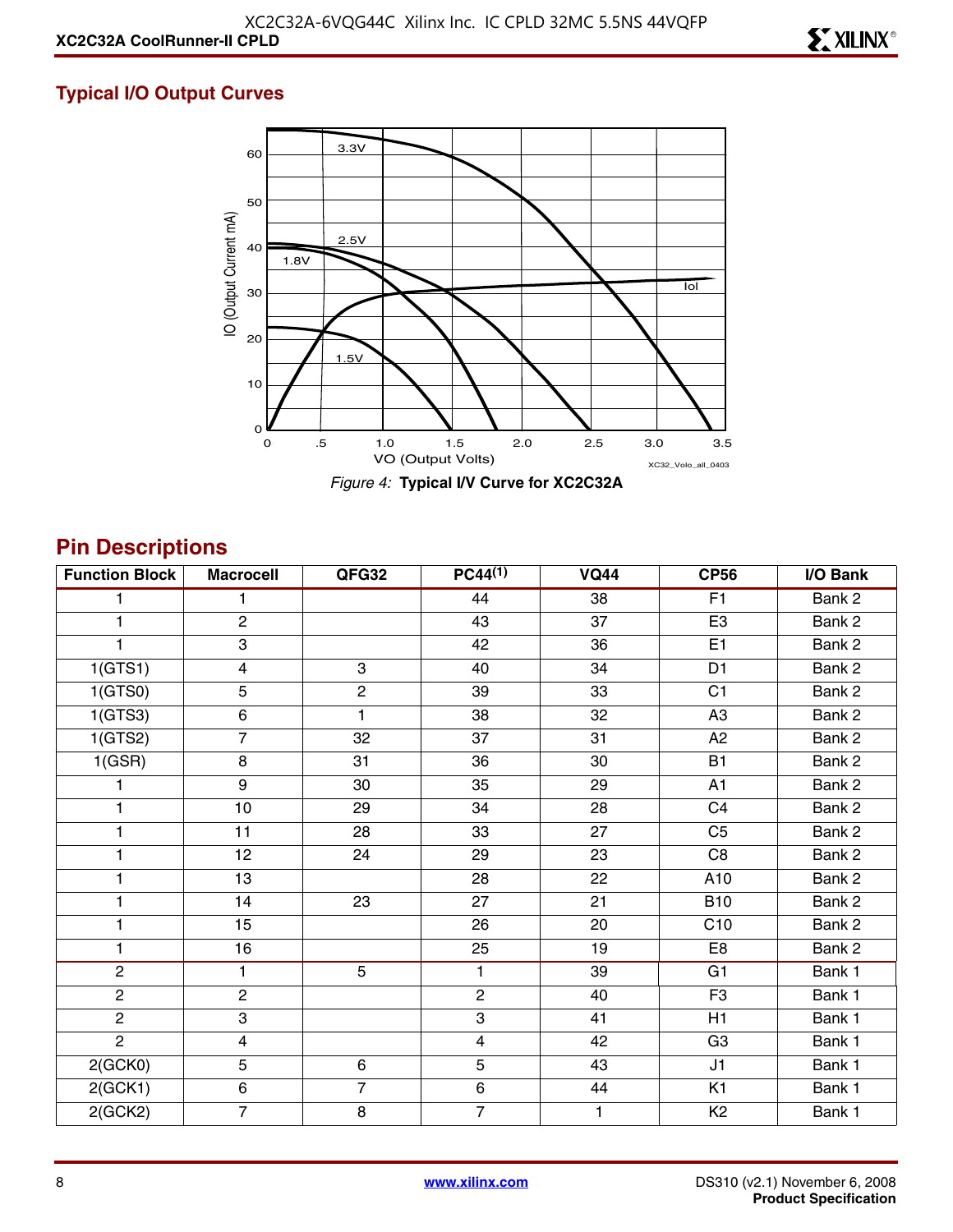#### **Typical I/O Output Curves**



## **Pin Descriptions**

| <b>Function Block</b> | <b>Macrocell</b>        | QFG32          | PC44 <sup>(1)</sup> | <b>VQ44</b> | <b>CP56</b>     | I/O Bank |
|-----------------------|-------------------------|----------------|---------------------|-------------|-----------------|----------|
|                       | 1                       |                | 44                  | 38          | $\overline{F1}$ | Bank 2   |
| 1                     | $\overline{2}$          |                | 43                  | 37          | E <sub>3</sub>  | Bank 2   |
|                       | 3                       |                | 42                  | 36          | E1              | Bank 2   |
| 1(GTS1)               | $\overline{\mathbf{4}}$ | 3              | 40                  | 34          | D <sub>1</sub>  | Bank 2   |
| 1(GTS0)               | 5                       | $\overline{2}$ | 39                  | 33          | C <sub>1</sub>  | Bank 2   |
| 1(GTS3)               | 6                       | 1              | 38                  | 32          | A <sub>3</sub>  | Bank 2   |
| 1(GTS2)               | $\overline{7}$          | 32             | 37                  | 31          | A2              | Bank 2   |
| 1(GSR)                | 8                       | 31             | 36                  | 30          | <b>B1</b>       | Bank 2   |
|                       | 9                       | 30             | 35                  | 29          | A1              | Bank 2   |
| 1                     | 10                      | 29             | 34                  | 28          | C <sub>4</sub>  | Bank 2   |
| 1                     | 11                      | 28             | 33                  | 27          | C <sub>5</sub>  | Bank 2   |
| 1                     | 12                      | 24             | 29                  | 23          | C <sub>8</sub>  | Bank 2   |
| 1                     | 13                      |                | 28                  | 22          | A10             | Bank 2   |
| 1                     | 14                      | 23             | 27                  | 21          | <b>B10</b>      | Bank 2   |
| 1                     | 15                      |                | 26                  | 20          | C10             | Bank 2   |
| 1                     | 16                      |                | 25                  | 19          | E <sub>8</sub>  | Bank 2   |
| $\overline{2}$        | $\mathbf{1}$            | $\overline{5}$ | 1                   | 39          | G <sub>1</sub>  | Bank 1   |
| $\overline{2}$        | $\overline{2}$          |                | $\overline{2}$      | 40          | F <sub>3</sub>  | Bank 1   |
| $\overline{2}$        | 3                       |                | 3                   | 41          | H1              | Bank 1   |
| $\overline{2}$        | $\overline{\mathbf{4}}$ |                | 4                   | 42          | G <sub>3</sub>  | Bank 1   |
| 2(GCKO)               | 5                       | 6              | 5                   | 43          | J1              | Bank 1   |
| 2(GCK1)               | 6                       | $\overline{7}$ | 6                   | 44          | K <sub>1</sub>  | Bank 1   |
| 2(GCK2)               | $\overline{7}$          | 8              | $\overline{7}$      | 1           | K <sub>2</sub>  | Bank 1   |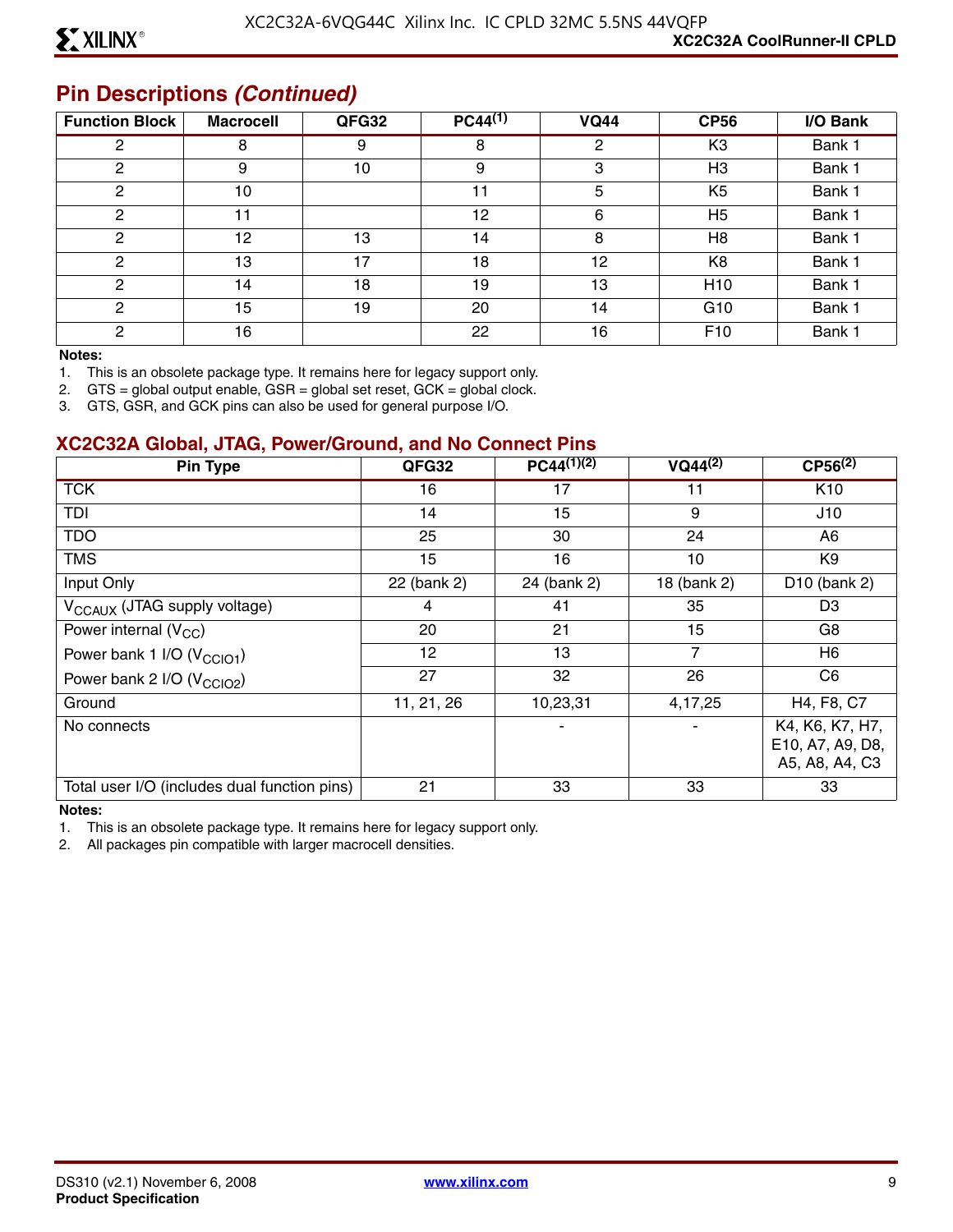#### **Pin Descriptions** *(Continued)*

| <b>Function Block</b> | <b>Macrocell</b> | QFG32 | $PC44^{(1)}$ | <b>VQ44</b> | <b>CP56</b>     | I/O Bank |
|-----------------------|------------------|-------|--------------|-------------|-----------------|----------|
| 2                     | 8                | 9     | 8            | 2           | K <sub>3</sub>  | Bank 1   |
| 2                     | 9                | 10    | 9            | 3           | H <sub>3</sub>  | Bank 1   |
| 2                     | 10               |       | 11           | 5           | K <sub>5</sub>  | Bank 1   |
| 2                     | 11               |       | 12           | 6           | H <sub>5</sub>  | Bank 1   |
| 2                     | 12               | 13    | 14           | 8           | H <sub>8</sub>  | Bank 1   |
| 2                     | 13               | 17    | 18           | 12          | K <sub>8</sub>  | Bank 1   |
| 2                     | 14               | 18    | 19           | 13          | H <sub>10</sub> | Bank 1   |
| 2                     | 15               | 19    | 20           | 14          | G <sub>10</sub> | Bank 1   |
| C.                    | 16               |       | 22           | 16          | F <sub>10</sub> | Bank 1   |

#### **Notes:**

1. This is an obsolete package type. It remains here for legacy support only.

2. GTS = global output enable, GSR = global set reset, GCK = global clock.

3. GTS, GSR, and GCK pins can also be used for general purpose I/O.

#### **XC2C32A Global, JTAG, Power/Ground, and No Connect Pins**

| Pin Type                                     | QFG32       | $PC44^{(1)(2)}$ | $VQ44^{(2)}$   | $CP56^{(2)}$                                          |
|----------------------------------------------|-------------|-----------------|----------------|-------------------------------------------------------|
| <b>TCK</b>                                   | 16          | 17              |                | K <sub>10</sub>                                       |
| TDI                                          | 14          | 15              | 9              | J10                                                   |
| <b>TDO</b>                                   | 25          | 30              | 24             | A6                                                    |
| <b>TMS</b>                                   | 15          | 16              | 10             | K9                                                    |
| Input Only                                   | 22 (bank 2) | 24 (bank 2)     | 18 (bank 2)    | D <sub>10</sub> (bank 2)                              |
| V <sub>CCAUX</sub> (JTAG supply voltage)     | 4           | 41              | 35             | D <sub>3</sub>                                        |
| Power internal $(V_{CC})$                    | 20          | 21              | 15             | G8                                                    |
| Power bank 1 I/O (V <sub>CCIO1</sub> )       | 12          | 13              | $\overline{7}$ | H6                                                    |
| Power bank 2 I/O (V <sub>CCIO2</sub> )       | 27          | 32              | 26             | C <sub>6</sub>                                        |
| Ground                                       | 11, 21, 26  | 10,23,31        | 4,17,25        | H4, F8, C7                                            |
| No connects                                  |             |                 |                | K4, K6, K7, H7,<br>E10, A7, A9, D8,<br>A5, A8, A4, C3 |
| Total user I/O (includes dual function pins) | 21          | 33              | 33             | 33                                                    |

#### **Notes:**

1. This is an obsolete package type. It remains here for legacy support only.

2. All packages pin compatible with larger macrocell densities.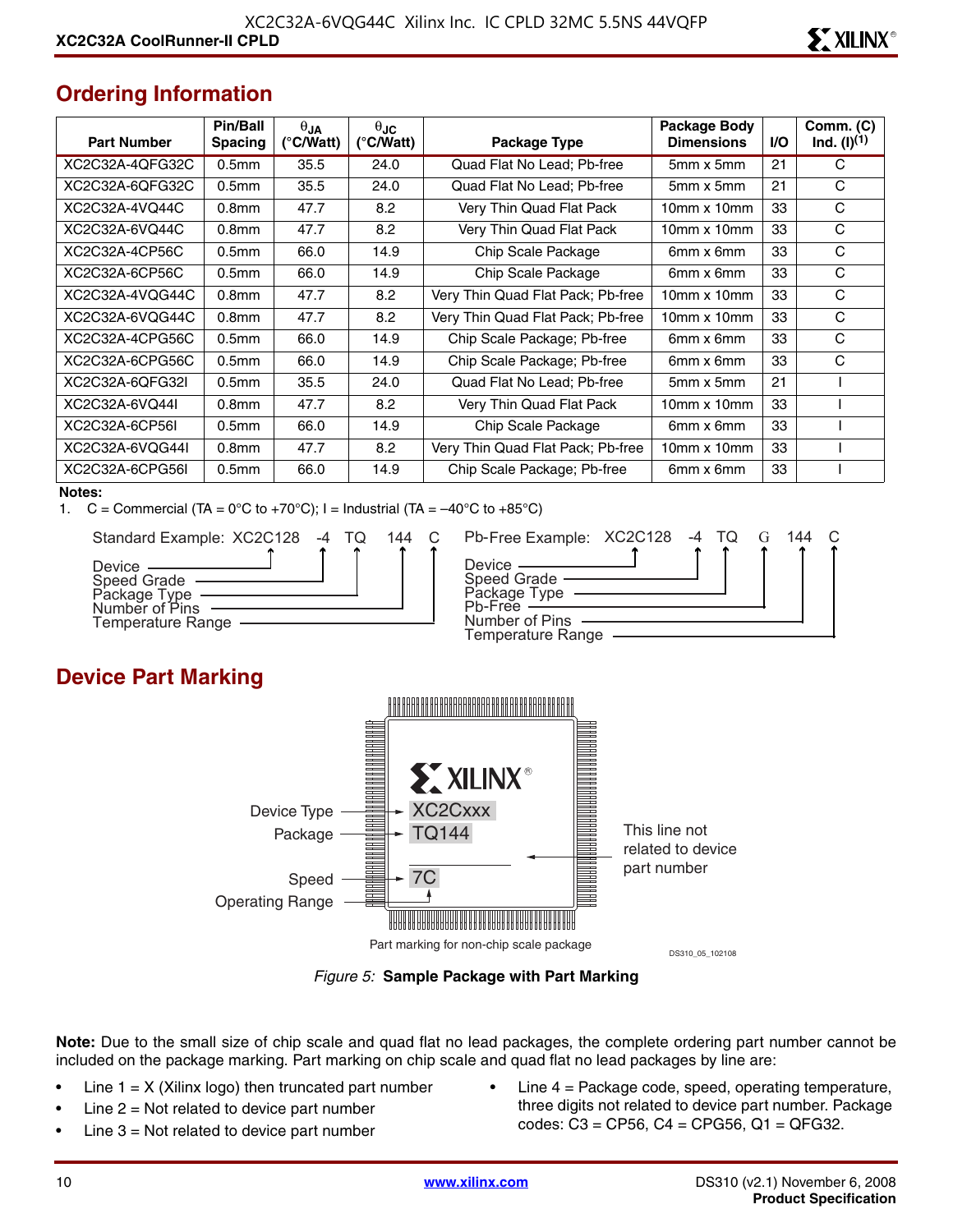#### **Ordering Information**

| <b>Part Number</b> | Pin/Ball<br>Spacing | $\mathsf{A}_{\mathsf{U}}^{\theta}$<br>(°C/Watt) | $\theta$ JC<br>(°C/Watt) | Package Type                      | Package Body<br><b>Dimensions</b> | <b>I/O</b> | Comm. (C)<br>$Ind. (I)^{(1)}$ |
|--------------------|---------------------|-------------------------------------------------|--------------------------|-----------------------------------|-----------------------------------|------------|-------------------------------|
| XC2C32A-4QFG32C    | 0.5 <sub>mm</sub>   | 35.5                                            | 24.0                     | Quad Flat No Lead; Pb-free        | 5mm x 5mm                         | 21         | C                             |
| XC2C32A-6OFG32C    | 0.5 <sub>mm</sub>   | 35.5                                            | 24.0                     | Quad Flat No Lead; Pb-free        | $5mm \times 5mm$                  | 21         | C                             |
| XC2C32A-4VQ44C     | 0.8 <sub>mm</sub>   | 47.7                                            | 8.2                      | Very Thin Quad Flat Pack          | $10mm \times 10mm$                | 33         | С                             |
| XC2C32A-6VQ44C     | 0.8 <sub>mm</sub>   | 47.7                                            | 8.2                      | Very Thin Quad Flat Pack          | $10mm \times 10mm$                | 33         | C                             |
| XC2C32A-4CP56C     | 0.5 <sub>mm</sub>   | 66.0                                            | 14.9                     | Chip Scale Package                | 6mm x 6mm                         | 33         | C                             |
| XC2C32A-6CP56C     | 0.5 <sub>mm</sub>   | 66.0                                            | 14.9                     | Chip Scale Package                | 6mm x 6mm                         | 33         | C                             |
| XC2C32A-4VQG44C    | 0.8 <sub>mm</sub>   | 47.7                                            | 8.2                      | Very Thin Quad Flat Pack; Pb-free | $10mm \times 10mm$                | 33         | C                             |
| XC2C32A-6VQG44C    | 0.8 <sub>mm</sub>   | 47.7                                            | 8.2                      | Very Thin Quad Flat Pack; Pb-free | $10$ mm $\times$ $10$ mm          | 33         | C                             |
| XC2C32A-4CPG56C    | 0.5 <sub>mm</sub>   | 66.0                                            | 14.9                     | Chip Scale Package; Pb-free       | 6mm x 6mm                         | 33         | С                             |
| XC2C32A-6CPG56C    | 0.5 <sub>mm</sub>   | 66.0                                            | 14.9                     | Chip Scale Package; Pb-free       | 6mm x 6mm                         | 33         | C                             |
| XC2C32A-6QFG32I    | 0.5 <sub>mm</sub>   | 35.5                                            | 24.0                     | Quad Flat No Lead; Pb-free        | $5mm \times 5mm$                  | 21         |                               |
| XC2C32A-6VQ44I     | 0.8 <sub>mm</sub>   | 47.7                                            | 8.2                      | Very Thin Quad Flat Pack          | $10mm \times 10mm$                | 33         |                               |
| XC2C32A-6CP56L     | 0.5 <sub>mm</sub>   | 66.0                                            | 14.9                     | Chip Scale Package                | 6mm x 6mm                         | 33         |                               |
| XC2C32A-6VQG44I    | 0.8 <sub>mm</sub>   | 47.7                                            | 8.2                      | Very Thin Quad Flat Pack; Pb-free | $10mm \times 10mm$                | 33         |                               |
| XC2C32A-6CPG56I    | 0.5 <sub>mm</sub>   | 66.0                                            | 14.9                     | Chip Scale Package; Pb-free       | 6mm x 6mm                         | 33         |                               |

#### **Notes:**

1.  $C =$  Commercial (TA = 0°C to +70°C); I = Industrial (TA =  $-40^{\circ}$ C to +85°C)



| 144 | Pb-Free Example: XC2C128 -4 TQ                |  |  | 144 |  |
|-----|-----------------------------------------------|--|--|-----|--|
|     | Device $\_\_$                                 |  |  |     |  |
|     | Speed Grade —<br>Package Type ——<br>Ph-Free - |  |  |     |  |
|     | Number of Pins                                |  |  |     |  |
|     | Temperature Range                             |  |  |     |  |

#### **Device Part Marking**



*Figure 5:* **Sample Package with Part Marking**

**Note:** Due to the small size of chip scale and quad flat no lead packages, the complete ordering part number cannot be included on the package marking. Part marking on chip scale and quad flat no lead packages by line are:

- Line  $1 = X$  (Xilinx logo) then truncated part number
- Line  $2 = Not$  related to device part number
- Line  $3$  = Not related to device part number
- Line  $4$  = Package code, speed, operating temperature, three digits not related to device part number. Package codes: C3 = CP56, C4 = CPG56, Q1 = QFG32.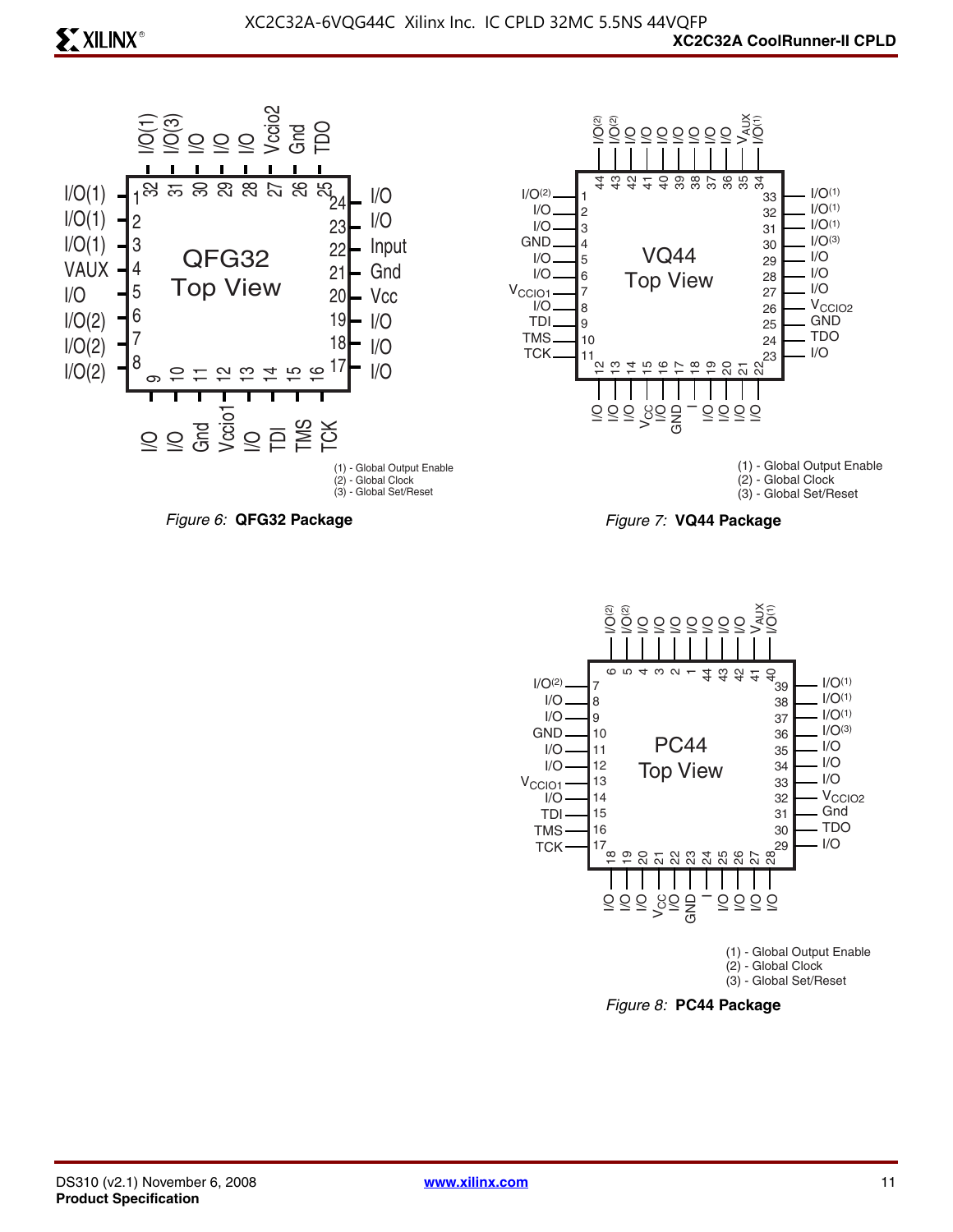



(1) - Global Output Enable (2) - Global Clock (3) - Global Set/Reset





*Figure 8:* **PC44 Package**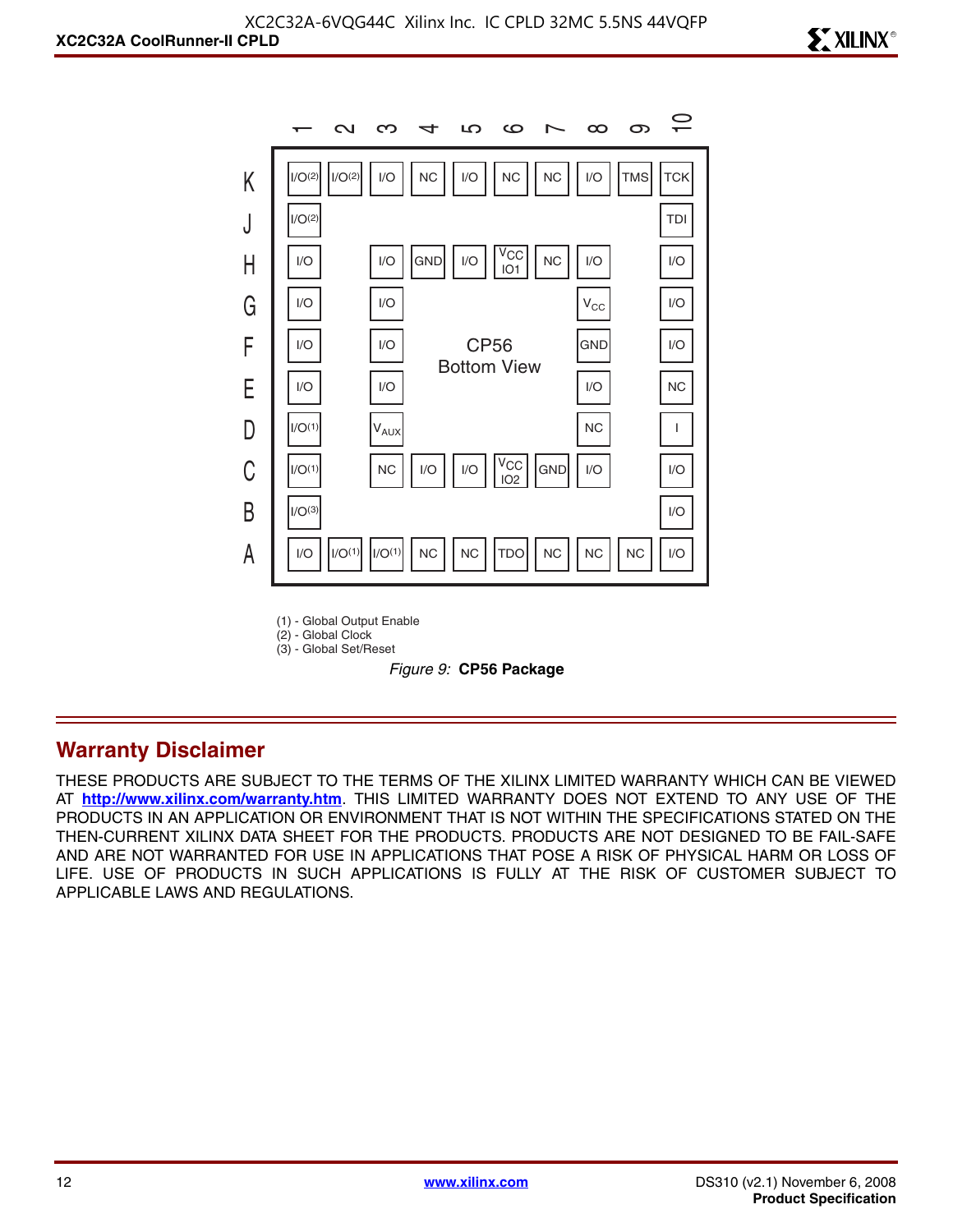

(1) - Global Output Enable

(2) - Global Clock (3) - Global Set/Reset

*Figure 9:* **CP56 Package**

#### **Warranty Disclaimer**

THESE PRODUCTS ARE SUBJECT TO THE TERMS OF THE XILINX LIMITED WARRANTY WHICH CAN BE VIEWED AT **<http://www.xilinx.com/warranty.htm>**. THIS LIMITED WARRANTY DOES NOT EXTEND TO ANY USE OF THE PRODUCTS IN AN APPLICATION OR ENVIRONMENT THAT IS NOT WITHIN THE SPECIFICATIONS STATED ON THE THEN-CURRENT XILINX DATA SHEET FOR THE PRODUCTS. PRODUCTS ARE NOT DESIGNED TO BE FAIL-SAFE AND ARE NOT WARRANTED FOR USE IN APPLICATIONS THAT POSE A RISK OF PHYSICAL HARM OR LOSS OF LIFE. USE OF PRODUCTS IN SUCH APPLICATIONS IS FULLY AT THE RISK OF CUSTOMER SUBJECT TO APPLICABLE LAWS AND REGULATIONS.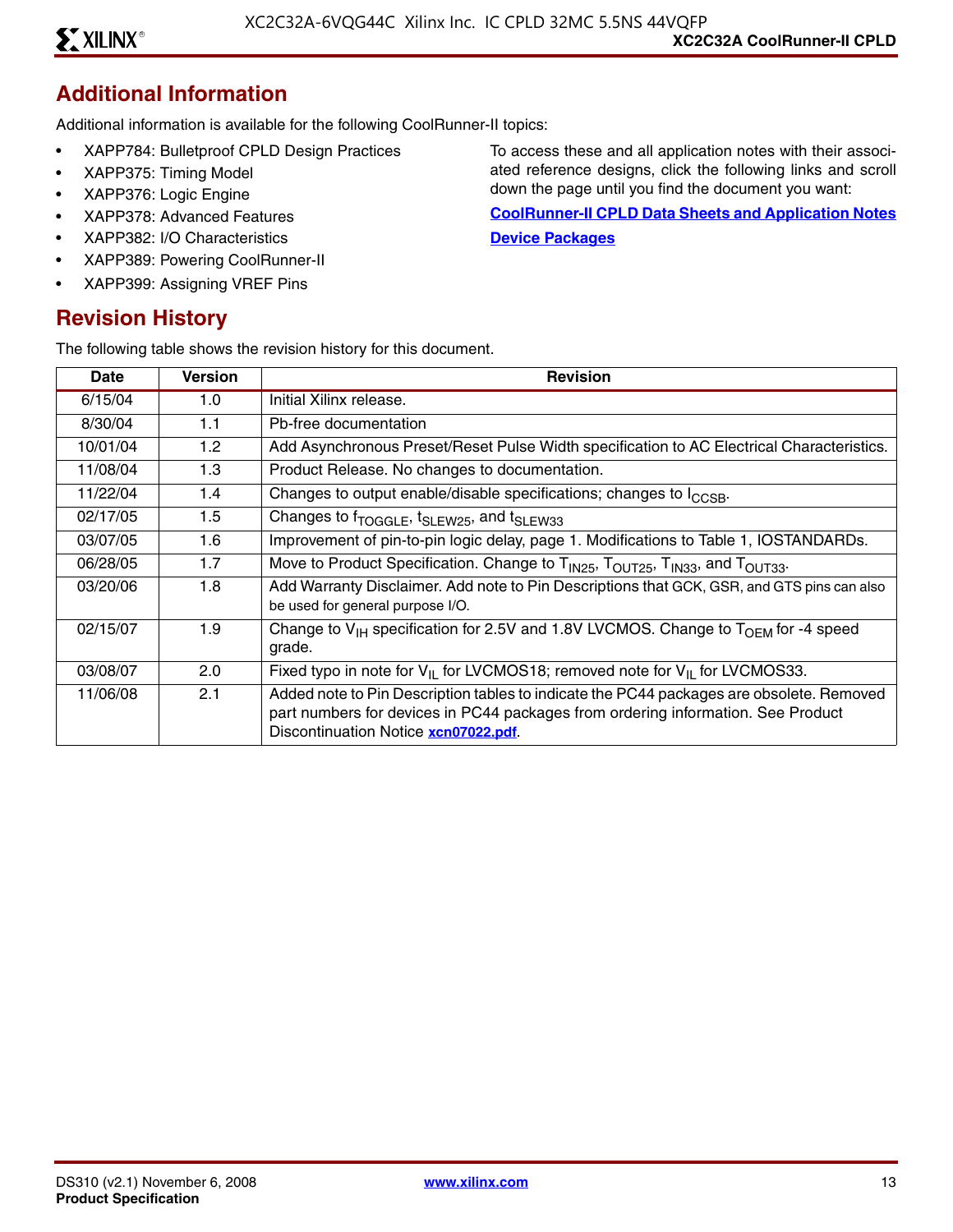#### **Additional Information**

Additional information is available for the following CoolRunner-II topics:

- XAPP784: Bulletproof CPLD Design Practices
- XAPP375: Timing Model
- XAPP376: Logic Engine
- XAPP378: Advanced Features
- XAPP382: I/O Characteristics
- XAPP389: Powering CoolRunner-II
- XAPP399: Assigning VREF Pins

#### **Revision History**

The following table shows the revision history for this document.

To access these and all application notes with their associated reference designs, click the following links and scroll down the page until you find the document you want:

**[CoolRunner-II CPLD Data Sheets and Application Notes](http://www.xilinx.com/support/documentation/coolrunner-ii.htm) [Device Packages](http://www.xilinx.com/support/documentation/package_specifications.htm)**

| Date     | <b>Version</b>   | <b>Revision</b>                                                                                                                                                                                                      |
|----------|------------------|----------------------------------------------------------------------------------------------------------------------------------------------------------------------------------------------------------------------|
| 6/15/04  | 1.0              | Initial Xilinx release.                                                                                                                                                                                              |
| 8/30/04  | 1.1              | Pb-free documentation                                                                                                                                                                                                |
| 10/01/04 | 1.2 <sub>1</sub> | Add Asynchronous Preset/Reset Pulse Width specification to AC Electrical Characteristics.                                                                                                                            |
| 11/08/04 | 1.3              | Product Release. No changes to documentation.                                                                                                                                                                        |
| 11/22/04 | 1.4              | Changes to output enable/disable specifications; changes to I <sub>CCSB</sub> .                                                                                                                                      |
| 02/17/05 | 1.5              | Changes to $f_{TOGGLE}$ , $t_{SLEW25}$ , and $t_{SLEW33}$                                                                                                                                                            |
| 03/07/05 | $1.6\,$          | Improvement of pin-to-pin logic delay, page 1. Modifications to Table 1, IOSTANDARDs.                                                                                                                                |
| 06/28/05 | 1.7              | Move to Product Specification. Change to T <sub>IN25</sub> , T <sub>OUT25</sub> , T <sub>IN33</sub> , and T <sub>OUT33</sub> .                                                                                       |
| 03/20/06 | 1.8              | Add Warranty Disclaimer. Add note to Pin Descriptions that GCK, GSR, and GTS pins can also<br>be used for general purpose I/O.                                                                                       |
| 02/15/07 | 1.9              | Change to $V_{H}$ specification for 2.5V and 1.8V LVCMOS. Change to $T_{OFM}$ for -4 speed<br>grade.                                                                                                                 |
| 03/08/07 | 2.0              | Fixed typo in note for $V_{II}$ for LVCMOS18; removed note for $V_{II}$ for LVCMOS33.                                                                                                                                |
| 11/06/08 | 2.1              | Added note to Pin Description tables to indicate the PC44 packages are obsolete. Removed<br>part numbers for devices in PC44 packages from ordering information. See Product<br>Discontinuation Notice xcn07022.pdf. |